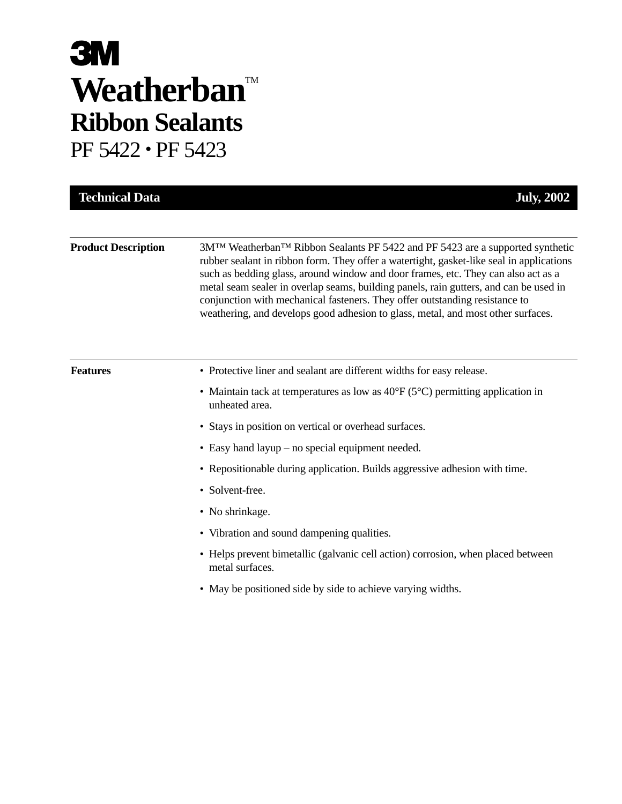# **3M** Weatherban<sup>TM</sup> **Ribbon Sealants**

PF 5422 • PF 5423

| <b>Product Description</b> | 3M <sup>™</sup> Weatherban <sup>™</sup> Ribbon Sealants PF 5422 and PF 5423 are a supported synthetic<br>rubber sealant in ribbon form. They offer a watertight, gasket-like seal in applications<br>such as bedding glass, around window and door frames, etc. They can also act as a<br>metal seam sealer in overlap seams, building panels, rain gutters, and can be used in<br>conjunction with mechanical fasteners. They offer outstanding resistance to<br>weathering, and develops good adhesion to glass, metal, and most other surfaces. |
|----------------------------|----------------------------------------------------------------------------------------------------------------------------------------------------------------------------------------------------------------------------------------------------------------------------------------------------------------------------------------------------------------------------------------------------------------------------------------------------------------------------------------------------------------------------------------------------|
| <b>Features</b>            | • Protective liner and sealant are different widths for easy release.                                                                                                                                                                                                                                                                                                                                                                                                                                                                              |
|                            | • Maintain tack at temperatures as low as $40^{\circ}F(5^{\circ}C)$ permitting application in<br>unheated area.                                                                                                                                                                                                                                                                                                                                                                                                                                    |
|                            | • Stays in position on vertical or overhead surfaces.                                                                                                                                                                                                                                                                                                                                                                                                                                                                                              |
|                            | • Easy hand layup – no special equipment needed.                                                                                                                                                                                                                                                                                                                                                                                                                                                                                                   |
|                            | • Repositionable during application. Builds aggressive adhesion with time.                                                                                                                                                                                                                                                                                                                                                                                                                                                                         |
|                            | • Solvent-free.                                                                                                                                                                                                                                                                                                                                                                                                                                                                                                                                    |
|                            | • No shrinkage.                                                                                                                                                                                                                                                                                                                                                                                                                                                                                                                                    |
|                            | • Vibration and sound dampening qualities.                                                                                                                                                                                                                                                                                                                                                                                                                                                                                                         |
|                            | • Helps prevent bimetallic (galvanic cell action) corrosion, when placed between<br>metal surfaces.                                                                                                                                                                                                                                                                                                                                                                                                                                                |
|                            | • May be positioned side by side to achieve varying widths.                                                                                                                                                                                                                                                                                                                                                                                                                                                                                        |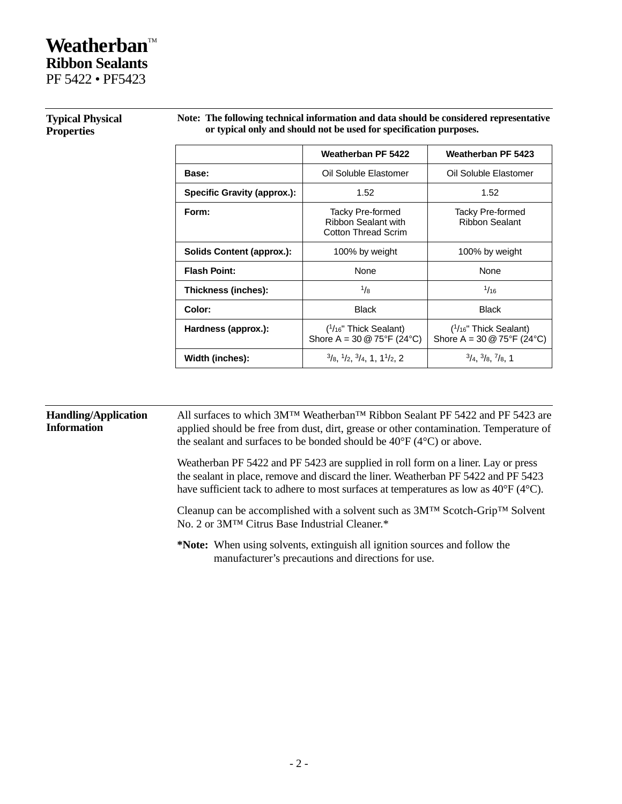## **Weatherban™ Ribbon Sealants**

PF 5422 • PF5423

|                                    | Weatherban PF 5422                                                             | Weatherban PF 5423                                                 |
|------------------------------------|--------------------------------------------------------------------------------|--------------------------------------------------------------------|
| Base:                              | Oil Soluble Elastomer                                                          | Oil Soluble Elastomer                                              |
| <b>Specific Gravity (approx.):</b> | 1.52                                                                           | 1.52                                                               |
| Form:                              | Tacky Pre-formed<br>Ribbon Sealant with<br><b>Cotton Thread Scrim</b>          | Tacky Pre-formed<br><b>Ribbon Sealant</b>                          |
| Solids Content (approx.):          | 100% by weight                                                                 | 100% by weight                                                     |
| <b>Flash Point:</b>                | None                                                                           | <b>None</b>                                                        |
| Thickness (inches):                | $\frac{1}{8}$                                                                  | 1/16                                                               |
| Color:                             | <b>Black</b>                                                                   | <b>Black</b>                                                       |
| Hardness (approx.):                | $(1/16"$ Thick Sealant)<br>Shore A = $30 \text{ @ } 75^{\circ}F (24^{\circ}C)$ | ( <sup>1</sup> /16" Thick Sealant)<br>Shore A = 30 $@$ 75°F (24°C) |
| Width (inches):                    | $\frac{3}{8}$ , $\frac{1}{2}$ , $\frac{3}{4}$ , 1, 1 $\frac{1}{2}$ , 2         | $\frac{3}{4}$ , $\frac{3}{8}$ , $\frac{7}{8}$ , 1                  |

#### **Typical Physical Properties**

**Note: The following technical information and data should be considered representative or typical only and should not be used for specification purposes.**

#### **Handling/Application Information** All surfaces to which 3M™ Weatherban™ Ribbon Sealant PF 5422 and PF 5423 are applied should be free from dust, dirt, grease or other contamination. Temperature of the sealant and surfaces to be bonded should be 40°F (4°C) or above. Weatherban PF 5422 and PF 5423 are supplied in roll form on a liner. Lay or press the sealant in place, remove and discard the liner. Weatherban PF 5422 and PF 5423 have sufficient tack to adhere to most surfaces at temperatures as low as 40°F (4°C). Cleanup can be accomplished with a solvent such as 3M™ Scotch-Grip™ Solvent No. 2 or 3M™ Citrus Base Industrial Cleaner.\* **\*Note:** When using solvents, extinguish all ignition sources and follow the manufacturer's precautions and directions for use.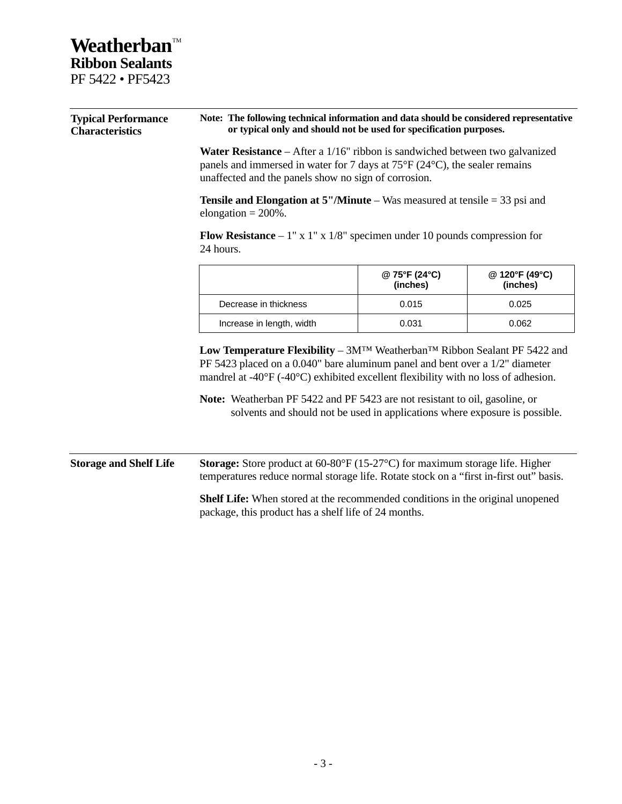### **Weatherban™ Ribbon Sealants** PF 5422 • PF5423

| <b>Typical Performance</b><br><b>Characteristics</b> | Note: The following technical information and data should be considered representative<br>or typical only and should not be used for specification purposes.<br><b>Water Resistance</b> – After a $1/16$ " ribbon is sandwiched between two galvanized<br>panels and immersed in water for 7 days at $75^{\circ}F(24^{\circ}C)$ , the sealer remains<br>unaffected and the panels show no sign of corrosion.                    |                       |                           |                            |                                                                                                                                                                                                                         |
|------------------------------------------------------|---------------------------------------------------------------------------------------------------------------------------------------------------------------------------------------------------------------------------------------------------------------------------------------------------------------------------------------------------------------------------------------------------------------------------------|-----------------------|---------------------------|----------------------------|-------------------------------------------------------------------------------------------------------------------------------------------------------------------------------------------------------------------------|
|                                                      |                                                                                                                                                                                                                                                                                                                                                                                                                                 |                       |                           |                            | <b>Tensile and Elongation at 5"/Minute</b> – Was measured at tensile $=$ 33 psi and<br>elongation = $200\%$ .<br><b>Flow Resistance</b> – $1''$ x $1''$ x $1/8''$ specimen under 10 pounds compression for<br>24 hours. |
|                                                      |                                                                                                                                                                                                                                                                                                                                                                                                                                 |                       | @ 75°F (24°C)<br>(inches) | @ 120°F (49°C)<br>(inches) |                                                                                                                                                                                                                         |
|                                                      |                                                                                                                                                                                                                                                                                                                                                                                                                                 | Decrease in thickness | 0.015                     | 0.025                      |                                                                                                                                                                                                                         |
| Increase in length, width                            |                                                                                                                                                                                                                                                                                                                                                                                                                                 | 0.031                 | 0.062                     |                            |                                                                                                                                                                                                                         |
|                                                      | Low Temperature Flexibility - $3M^{TM}$ Weatherban <sup>TM</sup> Ribbon Sealant PF 5422 and<br>PF 5423 placed on a 0.040" bare aluminum panel and bent over a 1/2" diameter<br>mandrel at -40°F (-40°C) exhibited excellent flexibility with no loss of adhesion.<br>Note: Weatherban PF 5422 and PF 5423 are not resistant to oil, gasoline, or<br>solvents and should not be used in applications where exposure is possible. |                       |                           |                            |                                                                                                                                                                                                                         |
| <b>Storage and Shelf Life</b>                        | <b>Storage:</b> Store product at $60-80$ °F (15-27°C) for maximum storage life. Higher<br>temperatures reduce normal storage life. Rotate stock on a "first in-first out" basis.<br>Shelf Life: When stored at the recommended conditions in the original unopened<br>package, this product has a shelf life of 24 months.                                                                                                      |                       |                           |                            |                                                                                                                                                                                                                         |